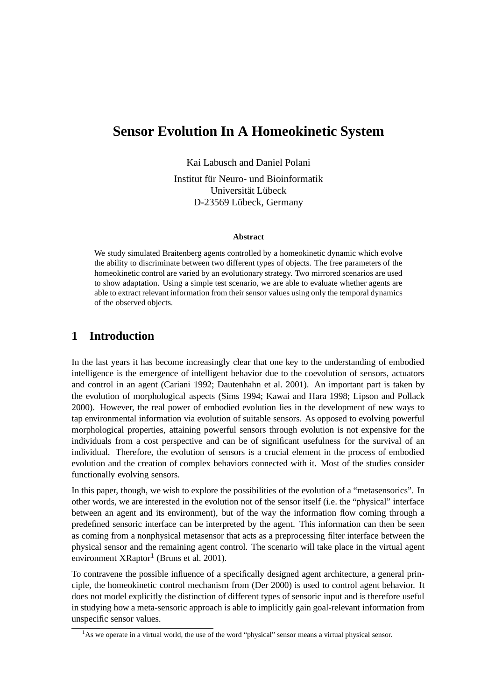# **Sensor Evolution In A Homeokinetic System**

Kai Labusch and Daniel Polani

Institut für Neuro- und Bioinformatik Universität Lübeck D-23569 Lübeck, Germany

#### **Abstract**

We study simulated Braitenberg agents controlled by a homeokinetic dynamic which evolve the ability to discriminate between two different types of objects. The free parameters of the homeokinetic control are varied by an evolutionary strategy. Two mirrored scenarios are used to show adaptation. Using a simple test scenario, we are able to evaluate whether agents are able to extract relevant information from their sensor values using only the temporal dynamics of the observed objects.

# **1 Introduction**

In the last years it has become increasingly clear that one key to the understanding of embodied intelligence is the emergence of intelligent behavior due to the coevolution of sensors, actuators and control in an agent (Cariani 1992; Dautenhahn et al. 2001). An important part is taken by the evolution of morphological aspects (Sims 1994; Kawai and Hara 1998; Lipson and Pollack 2000). However, the real power of embodied evolution lies in the development of new ways to tap environmental information via evolution of suitable sensors. As opposed to evolving powerful morphological properties, attaining powerful sensors through evolution is not expensive for the individuals from a cost perspective and can be of significant usefulness for the survival of an individual. Therefore, the evolution of sensors is a crucial element in the process of embodied evolution and the creation of complex behaviors connected with it. Most of the studies consider functionally evolving sensors.

In this paper, though, we wish to explore the possibilities of the evolution of a "metasensorics". In other words, we are interested in the evolution not of the sensor itself (i.e. the "physical" interface between an agent and its environment), but of the way the information flow coming through a predefined sensoric interface can be interpreted by the agent. This information can then be seen as coming from a nonphysical metasensor that acts as a preprocessing filter interface between the physical sensor and the remaining agent control. The scenario will take place in the virtual agent environment XRaptor<sup>1</sup> (Bruns et al. 2001).

To contravene the possible influence of a specifically designed agent architecture, a general principle, the homeokinetic control mechanism from (Der 2000) is used to control agent behavior. It does not model explicitly the distinction of different types of sensoric input and is therefore useful in studying how a meta-sensoric approach is able to implicitly gain goal-relevant information from unspecific sensor values.

 $1<sup>1</sup>$ As we operate in a virtual world, the use of the word "physical" sensor means a virtual physical sensor.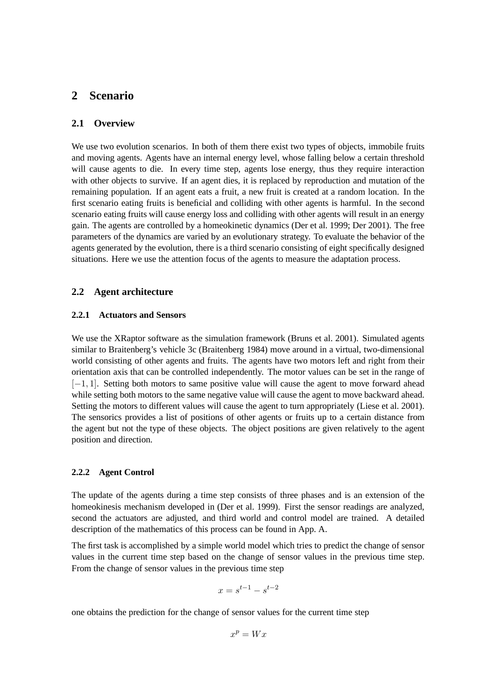# **2 Scenario**

### **2.1 Overview**

We use two evolution scenarios. In both of them there exist two types of objects, immobile fruits and moving agents. Agents have an internal energy level, whose falling below a certain threshold will cause agents to die. In every time step, agents lose energy, thus they require interaction with other objects to survive. If an agent dies, it is replaced by reproduction and mutation of the remaining population. If an agent eats a fruit, a new fruit is created at a random location. In the first scenario eating fruits is beneficial and colliding with other agents is harmful. In the second scenario eating fruits will cause energy loss and colliding with other agents will result in an energy gain. The agents are controlled by a homeokinetic dynamics (Der et al. 1999; Der 2001). The free parameters of the dynamics are varied by an evolutionary strategy. To evaluate the behavior of the agents generated by the evolution, there is a third scenario consisting of eight specifically designed situations. Here we use the attention focus of the agents to measure the adaptation process.

#### **2.2 Agent architecture**

### **2.2.1 Actuators and Sensors**

We use the XRaptor software as the simulation framework (Bruns et al. 2001). Simulated agents similar to Braitenberg's vehicle 3c (Braitenberg 1984) move around in a virtual, two-dimensional world consisting of other agents and fruits. The agents have two motors left and right from their orientation axis that can be controlled independently. The motor values can be set in the range of *[−1, 1]*. Setting both motors to same positive value will cause the agent to move forward ahead while setting both motors to the same negative value will cause the agent to move backward ahead. Setting the motors to different values will cause the agent to turn appropriately (Liese et al. 2001). The sensorics provides a list of positions of other agents or fruits up to a certain distance from the agent but not the type of these objects. The object positions are given relatively to the agent position and direction.

#### **2.2.2 Agent Control**

The update of the agents during a time step consists of three phases and is an extension of the homeokinesis mechanism developed in (Der et al. 1999). First the sensor readings are analyzed, second the actuators are adjusted, and third world and control model are trained. A detailed description of the mathematics of this process can be found in App. A.

The first task is accomplished by a simple world model which tries to predict the change of sensor values in the current time step based on the change of sensor values in the previous time step. From the change of sensor values in the previous time step

$$
x=s^{t-1}-s^{t-2}
$$

one obtains the prediction for the change of sensor values for the current time step

$$
x^p = Wx
$$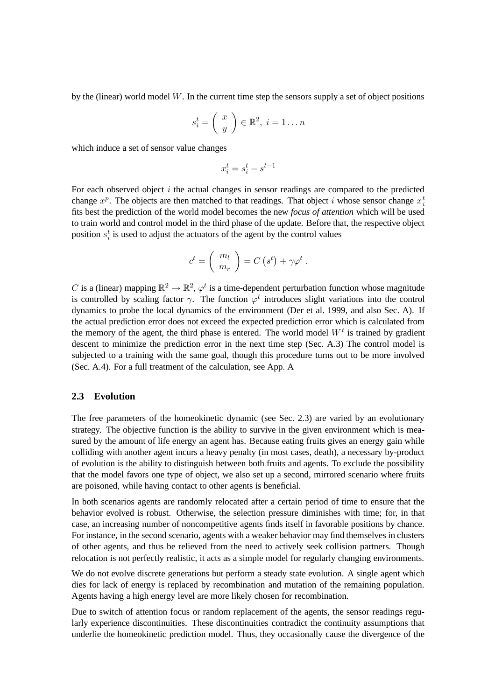by the (linear) world model *W*. In the current time step the sensors supply a set of object positions

$$
s_i^t = \left(\begin{array}{c} x \\ y \end{array}\right) \in \mathbb{R}^2, \ i = 1 \dots n
$$

which induce a set of sensor value changes

$$
x_i^t = s_i^t - s^{t-1}\quad
$$

For each observed object *i* the actual changes in sensor readings are compared to the predicted change  $x^p$ . The objects are then matched to that readings. That object *i* whose sensor change  $x_i^t$ fits best the prediction of the world model becomes the new *focus of attention* which will be used to train world and control model in the third phase of the update. Before that, the respective object position  $s_i^t$  is used to adjust the actuators of the agent by the control values

$$
c^{t} = \begin{pmatrix} m_l \\ m_r \end{pmatrix} = C (s^{t}) + \gamma \varphi^{t} .
$$

*C* is a (linear) mapping  $\mathbb{R}^2 \to \mathbb{R}^2$ ,  $\varphi^t$  is a time-dependent perturbation function whose magnitude is controlled by scaling factor  $\gamma$ . The function  $\varphi^t$  introduces slight variations into the control dynamics to probe the local dynamics of the environment (Der et al. 1999, and also Sec. A). If the actual prediction error does not exceed the expected prediction error which is calculated from the memory of the agent, the third phase is entered. The world model  $W<sup>t</sup>$  is trained by gradient descent to minimize the prediction error in the next time step (Sec. A.3) The control model is subjected to a training with the same goal, though this procedure turns out to be more involved (Sec. A.4). For a full treatment of the calculation, see App. A

### **2.3 Evolution**

The free parameters of the homeokinetic dynamic (see Sec. 2.3) are varied by an evolutionary strategy. The objective function is the ability to survive in the given environment which is measured by the amount of life energy an agent has. Because eating fruits gives an energy gain while colliding with another agent incurs a heavy penalty (in most cases, death), a necessary by-product of evolution is the ability to distinguish between both fruits and agents. To exclude the possibility that the model favors one type of object, we also set up a second, mirrored scenario where fruits are poisoned, while having contact to other agents is beneficial.

In both scenarios agents are randomly relocated after a certain period of time to ensure that the behavior evolved is robust. Otherwise, the selection pressure diminishes with time; for, in that case, an increasing number of noncompetitive agents finds itself in favorable positions by chance. For instance, in the second scenario, agents with a weaker behavior may find themselves in clusters of other agents, and thus be relieved from the need to actively seek collision partners. Though relocation is not perfectly realistic, it acts as a simple model for regularly changing environments.

We do not evolve discrete generations but perform a steady state evolution. A single agent which dies for lack of energy is replaced by recombination and mutation of the remaining population. Agents having a high energy level are more likely chosen for recombination.

Due to switch of attention focus or random replacement of the agents, the sensor readings regularly experience discontinuities. These discontinuities contradict the continuity assumptions that underlie the homeokinetic prediction model. Thus, they occasionally cause the divergence of the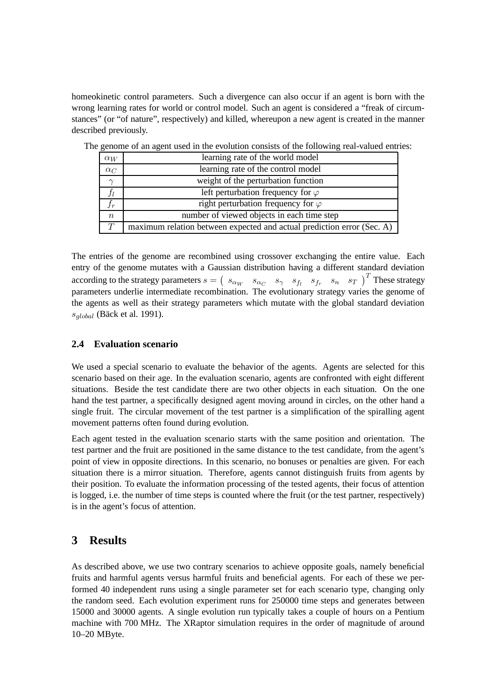homeokinetic control parameters. Such a divergence can also occur if an agent is born with the wrong learning rates for world or control model. Such an agent is considered a "freak of circumstances" (or "of nature", respectively) and killed, whereupon a new agent is created in the manner described previously.

| $\alpha_W$  | learning rate of the world model                                       |  |
|-------------|------------------------------------------------------------------------|--|
| $\alpha_C$  | learning rate of the control model                                     |  |
| $\sim$      | weight of the perturbation function                                    |  |
|             | left perturbation frequency for $\varphi$                              |  |
| $J_{\bm r}$ | right perturbation frequency for $\varphi$                             |  |
| $\, n$      | number of viewed objects in each time step                             |  |
| T           | maximum relation between expected and actual prediction error (Sec. A) |  |

The genome of an agent used in the evolution consists of the following real-valued entries:

The entries of the genome are recombined using crossover exchanging the entire value. Each entry of the genome mutates with a Gaussian distribution having a different standard deviation according to the strategy parameters  $s = (s_{\alpha_W} s_{\alpha_C} s_{\gamma} s_{f_l} s_{f_r} s_{f_r} s_{n} s_{T})^T$  These strategy parameters underlie intermediate recombination. The evolutionary strategy varies the genome of the agents as well as their strategy parameters which mutate with the global standard deviation *sglobal* (Bäck et al. 1991).

## **2.4 Evaluation scenario**

We used a special scenario to evaluate the behavior of the agents. Agents are selected for this scenario based on their age. In the evaluation scenario, agents are confronted with eight different situations. Beside the test candidate there are two other objects in each situation. On the one hand the test partner, a specifically designed agent moving around in circles, on the other hand a single fruit. The circular movement of the test partner is a simplification of the spiralling agent movement patterns often found during evolution.

Each agent tested in the evaluation scenario starts with the same position and orientation. The test partner and the fruit are positioned in the same distance to the test candidate, from the agent's point of view in opposite directions. In this scenario, no bonuses or penalties are given. For each situation there is a mirror situation. Therefore, agents cannot distinguish fruits from agents by their position. To evaluate the information processing of the tested agents, their focus of attention is logged, i.e. the number of time steps is counted where the fruit (or the test partner, respectively) is in the agent's focus of attention.

### **3 Results**

As described above, we use two contrary scenarios to achieve opposite goals, namely beneficial fruits and harmful agents versus harmful fruits and beneficial agents. For each of these we performed 40 independent runs using a single parameter set for each scenario type, changing only the random seed. Each evolution experiment runs for 250000 time steps and generates between 15000 and 30000 agents. A single evolution run typically takes a couple of hours on a Pentium machine with 700 MHz. The XRaptor simulation requires in the order of magnitude of around 10–20 MByte.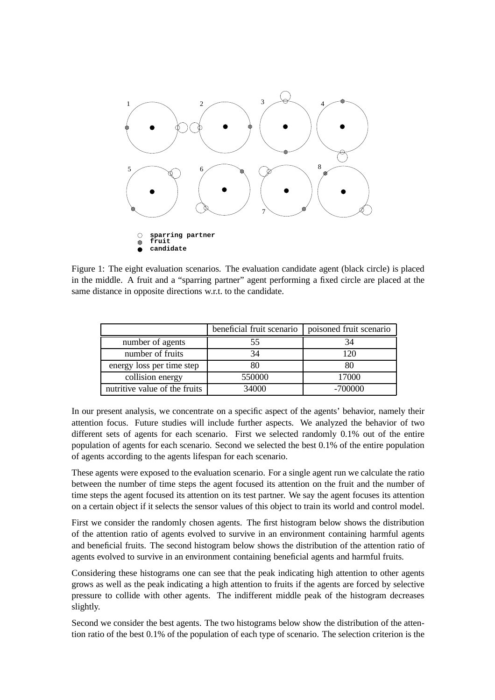

Figure 1: The eight evaluation scenarios. The evaluation candidate agent (black circle) is placed in the middle. A fruit and a "sparring partner" agent performing a fixed circle are placed at the same distance in opposite directions w.r.t. to the candidate.

|                               | beneficial fruit scenario | poisoned fruit scenario |
|-------------------------------|---------------------------|-------------------------|
| number of agents              | 55                        | 34                      |
| number of fruits              | 34                        | 120                     |
| energy loss per time step     | 80                        | 80                      |
| collision energy              | 550000                    | 17000                   |
| nutritive value of the fruits | 34000                     | $-700000$               |

In our present analysis, we concentrate on a specific aspect of the agents' behavior, namely their attention focus. Future studies will include further aspects. We analyzed the behavior of two different sets of agents for each scenario. First we selected randomly 0.1% out of the entire population of agents for each scenario. Second we selected the best 0.1% of the entire population of agents according to the agents lifespan for each scenario.

These agents were exposed to the evaluation scenario. For a single agent run we calculate the ratio between the number of time steps the agent focused its attention on the fruit and the number of time steps the agent focused its attention on its test partner. We say the agent focuses its attention on a certain object if it selects the sensor values of this object to train its world and control model.

First we consider the randomly chosen agents. The first histogram below shows the distribution of the attention ratio of agents evolved to survive in an environment containing harmful agents and beneficial fruits. The second histogram below shows the distribution of the attention ratio of agents evolved to survive in an environment containing beneficial agents and harmful fruits.

Considering these histograms one can see that the peak indicating high attention to other agents grows as well as the peak indicating a high attention to fruits if the agents are forced by selective pressure to collide with other agents. The indifferent middle peak of the histogram decreases slightly.

Second we consider the best agents. The two histograms below show the distribution of the attention ratio of the best 0.1% of the population of each type of scenario. The selection criterion is the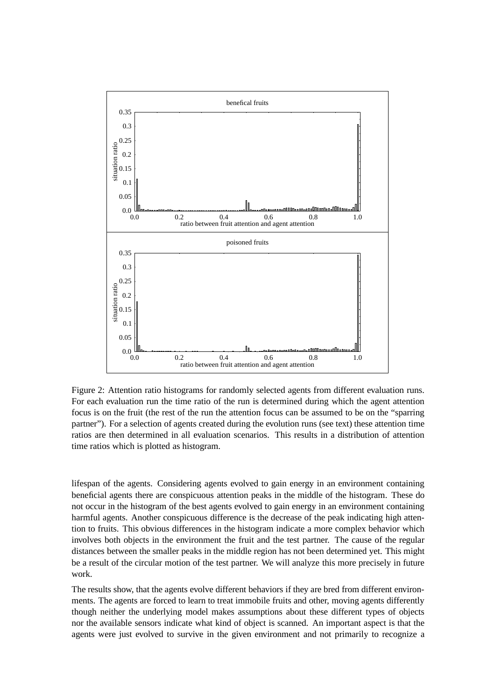

Figure 2: Attention ratio histograms for randomly selected agents from different evaluation runs. For each evaluation run the time ratio of the run is determined during which the agent attention focus is on the fruit (the rest of the run the attention focus can be assumed to be on the "sparring partner"). For a selection of agents created during the evolution runs (see text) these attention time ratios are then determined in all evaluation scenarios. This results in a distribution of attention time ratios which is plotted as histogram.

lifespan of the agents. Considering agents evolved to gain energy in an environment containing beneficial agents there are conspicuous attention peaks in the middle of the histogram. These do not occur in the histogram of the best agents evolved to gain energy in an environment containing harmful agents. Another conspicuous difference is the decrease of the peak indicating high attention to fruits. This obvious differences in the histogram indicate a more complex behavior which involves both objects in the environment the fruit and the test partner. The cause of the regular distances between the smaller peaks in the middle region has not been determined yet. This might be a result of the circular motion of the test partner. We will analyze this more precisely in future work.

The results show, that the agents evolve different behaviors if they are bred from different environments. The agents are forced to learn to treat immobile fruits and other, moving agents differently though neither the underlying model makes assumptions about these different types of objects nor the available sensors indicate what kind of object is scanned. An important aspect is that the agents were just evolved to survive in the given environment and not primarily to recognize a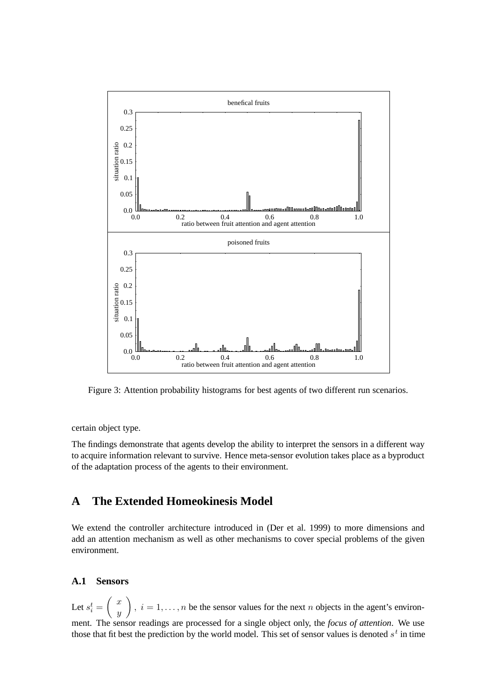

Figure 3: Attention probability histograms for best agents of two different run scenarios.

certain object type.

The findings demonstrate that agents develop the ability to interpret the sensors in a different way to acquire information relevant to survive. Hence meta-sensor evolution takes place as a byproduct of the adaptation process of the agents to their environment.

# **A The Extended Homeokinesis Model**

We extend the controller architecture introduced in (Der et al. 1999) to more dimensions and add an attention mechanism as well as other mechanisms to cover special problems of the given environment.

### **A.1 Sensors**

Let  $s_i^t =$  *x y*  $\overline{ }$  $i, i = 1, \ldots, n$  be the sensor values for the next *n* objects in the agent's environment. The sensor readings are processed for a single object only, the *focus of attention*. We use those that fit best the prediction by the world model. This set of sensor values is denoted  $s<sup>t</sup>$  in time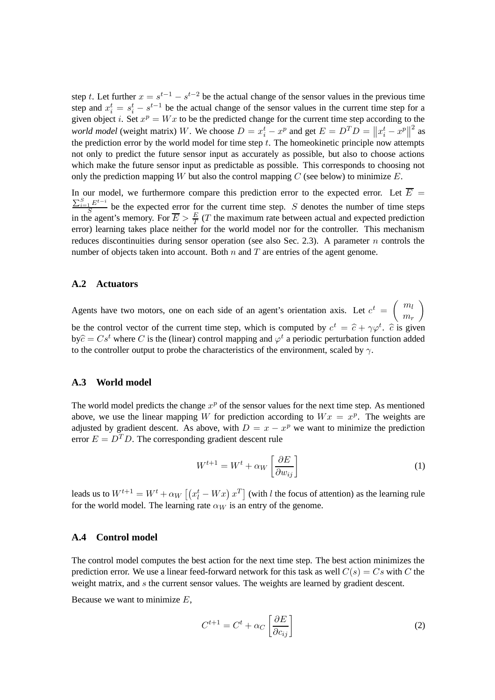step *t*. Let further  $x = s^{t-1} - s^{t-2}$  be the actual change of the sensor values in the previous time step and  $x_i^t = s_i^t - s^{t-1}$  be the actual change of the sensor values in the current time step for a given object *i*. Set  $x^p = Wx$  to be the predicted change for the current time step according to the *world model* (weight matrix) W. We choose  $D = x_i^t - x^p$  and get  $E = D^T D = ||x_i^t - x^p||^2$  as the prediction error by the world model for time step *t*. The homeokinetic principle now attempts not only to predict the future sensor input as accurately as possible, but also to choose actions which make the future sensor input as predictable as possible. This corresponds to choosing not only the prediction mapping *W* but also the control mapping *C* (see below) to minimize *E*.

In our model, we furthermore compare this prediction error to the expected error. Let  $\overline{E}$  =  $\frac{\sum_{i=1}^{S} E^{t-i}}{S}$  be the expected error for the current time step. *S* denotes the number of time steps in the agent's memory. For  $\overline{E} > \frac{E}{T}$  $\frac{E}{T}$  (*T* the maximum rate between actual and expected prediction error) learning takes place neither for the world model nor for the controller. This mechanism reduces discontinuities during sensor operation (see also Sec. 2.3). A parameter *n* controls the number of objects taken into account. Both *n* and *T* are entries of the agent genome.

#### **A.2 Actuators**

Agents have two motors, one on each side of an agent's orientation axis. Let  $c^t = \begin{pmatrix} m_l \\ m_l \end{pmatrix}$ *m<sup>r</sup>*  $\overline{ }$ be the control vector of the current time step, which is computed by  $c^t = \hat{c} + \gamma \varphi^t$ .  $\hat{c}$  is given  $\mathbf{b}y\hat{c} = Cs^t$  where *C* is the (linear) control mapping and  $\varphi^t$  a periodic perturbation function added to the controller output to probe the characteristics of the environment, scaled by *γ*.

#### **A.3 World model**

The world model predicts the change  $x^p$  of the sensor values for the next time step. As mentioned above, we use the linear mapping *W* for prediction according to  $Wx = x^p$ . The weights are adjusted by gradient descent. As above, with  $D = x - x^p$  we want to minimize the prediction error  $E = D<sup>T</sup> D$ . The corresponding gradient descent rule

$$
W^{t+1} = W^t + \alpha_W \left[ \frac{\partial E}{\partial w_{ij}} \right] \tag{1}
$$

leads us to  $W^{t+1} = W^t + \alpha_W \left[ \left( x_l^t - Wx \right) x^T \right]$  (with *l* the focus of attention) as the learning rule for the world model. The learning rate  $\alpha_W$  is an entry of the genome.

### **A.4 Control model**

The control model computes the best action for the next time step. The best action minimizes the prediction error. We use a linear feed-forward network for this task as well  $C(s) = Cs$  with *C* the weight matrix, and *s* the current sensor values. The weights are learned by gradient descent.

Because we want to minimize *E*,

$$
C^{t+1} = C^t + \alpha_C \left[ \frac{\partial E}{\partial c_{ij}} \right]
$$
 (2)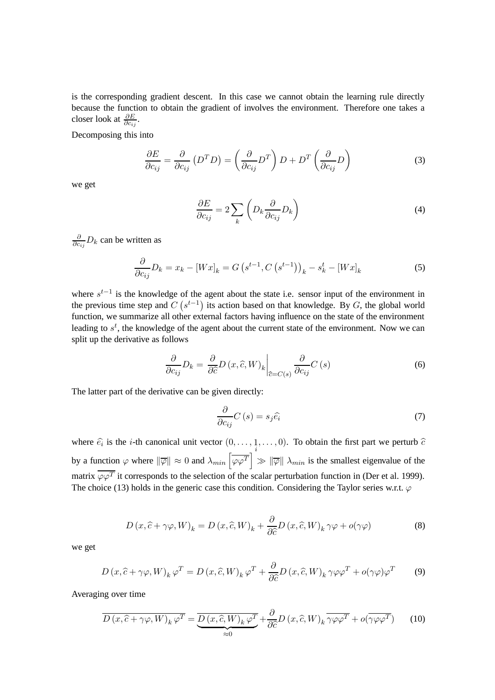is the corresponding gradient descent. In this case we cannot obtain the learning rule directly because the function to obtain the gradient of involves the environment. Therefore one takes a closer look at  $\frac{\partial E}{\partial c_{ij}}$ .

Decomposing this into

$$
\frac{\partial E}{\partial c_{ij}} = \frac{\partial}{\partial c_{ij}} (D^T D) = \left(\frac{\partial}{\partial c_{ij}} D^T\right) D + D^T \left(\frac{\partial}{\partial c_{ij}} D\right)
$$
(3)

we get

$$
\frac{\partial E}{\partial c_{ij}} = 2 \sum_{k} \left( D_k \frac{\partial}{\partial c_{ij}} D_k \right)
$$
 (4)

*∂ ∂cij D<sup>k</sup>* can be written as

$$
\frac{\partial}{\partial c_{ij}}D_k = x_k - [Wx]_k = G\left(s^{t-1}, C\left(s^{t-1}\right)\right)_k - s_k^t - [Wx]_k \tag{5}
$$

where  $s^{t-1}$  is the knowledge of the agent about the state i.e. sensor input of the environment in the previous time step and  $C(s^{t-1})$  its action based on that knowledge. By  $G$ , the global world function, we summarize all other external factors having influence on the state of the environment leading to  $s<sup>t</sup>$ , the knowledge of the agent about the current state of the environment. Now we can split up the derivative as follows

$$
\frac{\partial}{\partial c_{ij}}D_k = \frac{\partial}{\partial \hat{c}}D(x, \hat{c}, W)_k \bigg|_{\hat{c} = C(s)} \frac{\partial}{\partial c_{ij}}C(s)
$$
\n(6)

The latter part of the derivative can be given directly:

$$
\frac{\partial}{\partial c_{ij}} C\left(s\right) = s_j \hat{e}_i \tag{7}
$$

where  $\hat{e}_i$  is the *i*-th canonical unit vector  $(0, \ldots, \frac{1}{i}, \ldots, 0)$ . To obtain the first part we perturb  $\hat{c}$ by a function  $\varphi$  where  $\|\overline{\varphi}\| \approx 0$  and  $\lambda_{min} \left[\overline{\varphi \varphi^{T}}\right] \gg \|\overline{\varphi}\| \lambda_{min}$  is the smallest eigenvalue of the matrix  $\overline{\varphi \varphi^T}$  it corresponds to the selection of the scalar perturbation function in (Der et al. 1999). The choice (13) holds in the generic case this condition. Considering the Taylor series w.r.t.  $\varphi$ 

$$
D(x,\hat{c}+\gamma\varphi,W)_k = D(x,\hat{c},W)_k + \frac{\partial}{\partial \hat{c}}D(x,\hat{c},W)_k \gamma\varphi + o(\gamma\varphi)
$$
(8)

we get

$$
D(x,\hat{c}+\gamma\varphi,W)_k\,\varphi^T = D(x,\hat{c},W)_k\,\varphi^T + \frac{\partial}{\partial\hat{c}}D(x,\hat{c},W)_k\,\gamma\varphi\varphi^T + o(\gamma\varphi)\varphi^T \qquad (9)
$$

Averaging over time

$$
D(x,\hat{c}+\gamma\varphi,W)_k\,\varphi^T = \underbrace{\overline{D(x,\hat{c},W)_k\,\varphi^T}}_{\approx 0} + \frac{\partial}{\partial \hat{c}}D(x,\hat{c},W)_k\,\overline{\gamma\varphi\varphi^T} + o(\overline{\gamma\varphi\varphi^T}) \tag{10}
$$